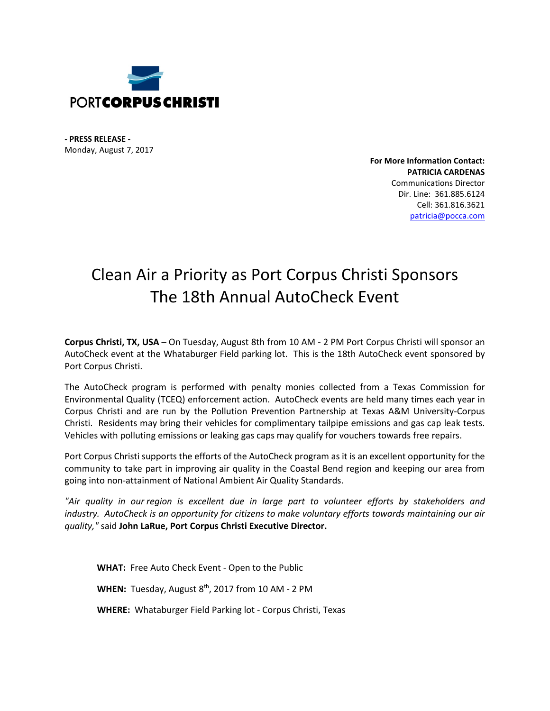

**- PRESS RELEASE -** Monday, August 7, 2017

> **For More Information Contact: PATRICIA CARDENAS** Communications Director Dir. Line: 361.885.6124 Cell: 361.816.3621 [patricia@pocca.com](mailto:patricia@pocca.com)

## Clean Air a Priority as Port Corpus Christi Sponsors The 18th Annual AutoCheck Event

**Corpus Christi, TX, USA** – On Tuesday, August 8th from 10 AM - 2 PM Port Corpus Christi will sponsor an AutoCheck event at the Whataburger Field parking lot. This is the 18th AutoCheck event sponsored by Port Corpus Christi.

The AutoCheck program is performed with penalty monies collected from a Texas Commission for Environmental Quality (TCEQ) enforcement action. AutoCheck events are held many times each year in Corpus Christi and are run by the Pollution Prevention Partnership at Texas A&M University-Corpus Christi. Residents may bring their vehicles for complimentary tailpipe emissions and gas cap leak tests. Vehicles with polluting emissions or leaking gas caps may qualify for vouchers towards free repairs.

Port Corpus Christi supports the efforts of the AutoCheck program as it is an excellent opportunity for the community to take part in improving air quality in the Coastal Bend region and keeping our area from going into non-attainment of National Ambient Air Quality Standards.

*"Air quality in our region is excellent due in large part to volunteer efforts by stakeholders and industry. AutoCheck is an opportunity for citizens to make voluntary efforts towards maintaining our air quality,"* said **John LaRue, Port Corpus Christi Executive Director.**

**WHAT:** Free Auto Check Event - Open to the Public

**WHEN:** Tuesday, August 8<sup>th</sup>, 2017 from 10 AM - 2 PM

**WHERE:** Whataburger Field Parking lot - Corpus Christi, Texas